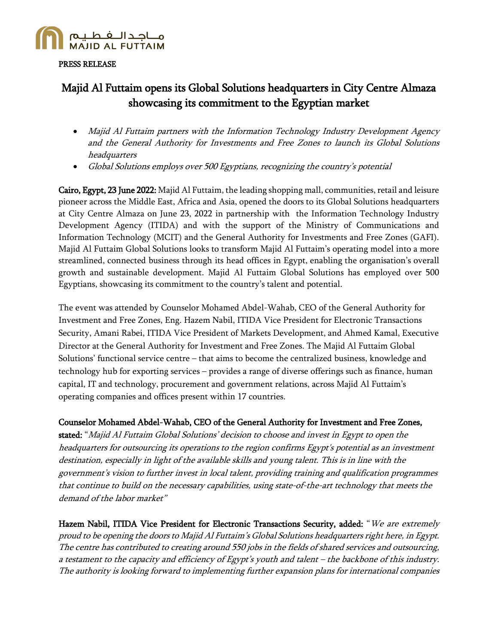

#### PRESS RELEASE

# Majid Al Futtaim opens its Global Solutions headquarters in City Centre Almaza showcasing its commitment to the Egyptian market

- Majid Al Futtaim partners with the Information Technology Industry Development Agency and the General Authority for Investments and Free Zones to launch its Global Solutions headquarters
- Global Solutions employs over 500 Egyptians, recognizing the country's potential

Cairo, Egypt, 23 June 2022: Majid Al Futtaim, the leading shopping mall, communities, retail and leisure pioneer across the Middle East, Africa and Asia, opened the doors to its Global Solutions headquarters at City Centre Almaza on June 23, 2022 in partnership with the Information Technology Industry Development Agency (ITIDA) and with the support of the Ministry of Communications and Information Technology (MCIT) and the General Authority for Investments and Free Zones (GAFI). Majid Al Futtaim Global Solutions looks to transform Majid Al Futtaim's operating model into a more streamlined, connected business through its head offices in Egypt, enabling the organisation's overall growth and sustainable development. Majid Al Futtaim Global Solutions has employed over 500 Egyptians, showcasing its commitment to the country's talent and potential.

The event was attended by Counselor Mohamed Abdel-Wahab, CEO of the General Authority for Investment and Free Zones, Eng. Hazem Nabil, ITIDA Vice President for Electronic Transactions Security, Amani Rabei, ITIDA Vice President of Markets Development, and Ahmed Kamal, Executive Director at the General Authority for Investment and Free Zones. The Majid Al Futtaim Global Solutions' functional service centre – that aims to become the centralized business, knowledge and technology hub for exporting services – provides a range of diverse offerings such as finance, human capital, IT and technology, procurement and government relations, across Majid Al Futtaim's operating companies and offices present within 17 countries.

## Counselor Mohamed Abdel-Wahab, CEO of the General Authority for Investment and Free Zones,

stated: "Majid Al Futtaim Global Solutions' decision to choose and invest in Egypt to open the headquarters for outsourcing its operations to the region confirms Egypt's potential as an investment destination, especially in light of the available skills and young talent. This is in line with the government's vision to further invest in local talent, providing training and qualification programmes that continue to build on the necessary capabilities, using state-of-the-art technology that meets the demand of the labor market"

Hazem Nabil, ITIDA Vice President for Electronic Transactions Security, added: "We are extremely proud to be opening the doors to Majid Al Futtaim's Global Solutions headquarters right here, in Egypt. The centre has contributed to creating around 550 jobs in the fields of shared services and outsourcing, a testament to the capacity and efficiency of Egypt's youth and talent – the backbone of this industry. The authority is looking forward to implementing further expansion plans for international companies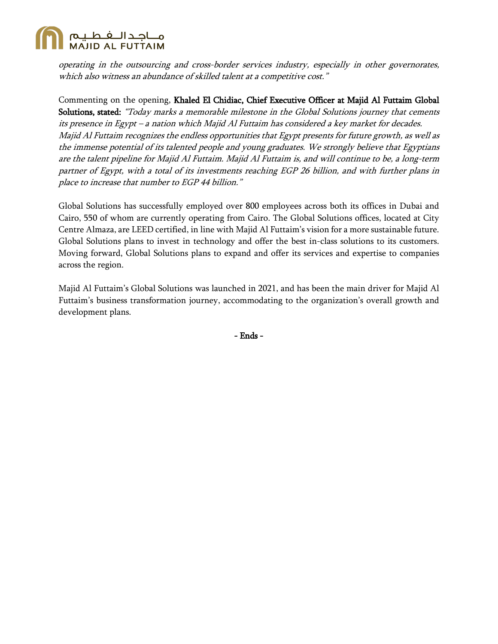

operating in the outsourcing and cross-border services industry, especially in other governorates, which also witness an abundance of skilled talent at a competitive cost."

Commenting on the opening, Khaled El Chidiac, Chief Executive Officer at Majid Al Futtaim Global Solutions, stated: "Today marks a memorable milestone in the Global Solutions journey that cements its presence in Egypt – a nation which Majid Al Futtaim has considered a key market for decades. Majid Al Futtaim recognizes the endless opportunities that Egypt presents for future growth, as well as the immense potential of its talented people and young graduates. We strongly believe that Egyptians are the talent pipeline for Majid Al Futtaim. Majid Al Futtaim is, and will continue to be, a long-term partner of Egypt, with a total of its investments reaching EGP 26 billion, and with further plans in place to increase that number to EGP 44 billion."

Global Solutions has successfully employed over 800 employees across both its offices in Dubai and Cairo, 550 of whom are currently operating from Cairo. The Global Solutions offices, located at City Centre Almaza, are LEED certified, in line with Majid Al Futtaim's vision for a more sustainable future. Global Solutions plans to invest in technology and offer the best in-class solutions to its customers. Moving forward, Global Solutions plans to expand and offer its services and expertise to companies across the region.

Majid Al Futtaim's Global Solutions was launched in 2021, and has been the main driver for Majid Al Futtaim's business transformation journey, accommodating to the organization's overall growth and development plans.

- Ends -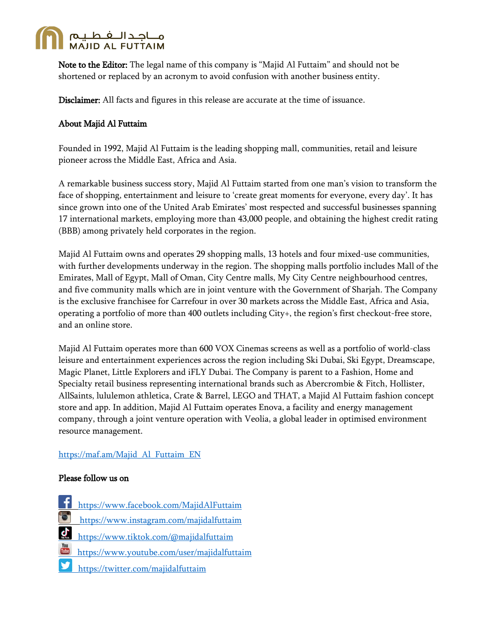

Note to the Editor: The legal name of this company is "Majid Al Futtaim" and should not be shortened or replaced by an acronym to avoid confusion with another business entity.

Disclaimer: All facts and figures in this release are accurate at the time of issuance.

## About Majid Al Futtaim

Founded in 1992, Majid Al Futtaim is the leading shopping mall, communities, retail and leisure pioneer across the Middle East, Africa and Asia.

A remarkable business success story, Majid Al Futtaim started from one man's vision to transform the face of shopping, entertainment and leisure to 'create great moments for everyone, every day'. It has since grown into one of the United Arab Emirates' most respected and successful businesses spanning 17 international markets, employing more than 43,000 people, and obtaining the highest credit rating (BBB) among privately held corporates in the region.

Majid Al Futtaim owns and operates 29 shopping malls, 13 hotels and four mixed-use communities, with further developments underway in the region. The shopping malls portfolio includes Mall of the Emirates, Mall of Egypt, Mall of Oman, City Centre malls, My City Centre neighbourhood centres, and five community malls which are in joint venture with the Government of Sharjah. The Company is the exclusive franchisee for Carrefour in over 30 markets across the Middle East, Africa and Asia, operating a portfolio of more than 400 outlets including City+, the region's first checkout-free store, and an online store.

Majid Al Futtaim operates more than 600 VOX Cinemas screens as well as a portfolio of world-class leisure and entertainment experiences across the region including Ski Dubai, Ski Egypt, Dreamscape, Magic Planet, Little Explorers and iFLY Dubai. The Company is parent to a Fashion, Home and Specialty retail business representing international brands such as Abercrombie & Fitch, Hollister, AllSaints, lululemon athletica, Crate & Barrel, LEGO and THAT, a Majid Al Futtaim fashion concept store and app. In addition, Majid Al Futtaim operates Enova, a facility and energy management company, through a joint venture operation with Veolia, a global leader in optimised environment resource management.

## [https://maf.am/Majid\\_Al\\_Futtaim\\_EN](https://maf.am/Majid_Al_Futtaim_EN)

#### Please follow us on

- <https://www.facebook.com/MajidAlFuttaim>
- <https://www.instagram.com/majidalfuttaim>
- <https://www.tiktok.com/@majidalfuttaim>  $\mathbf{q}$
- <https://www.youtube.com/user/majidalfuttaim>
- http[s://twitter.com/majidalfuttaim](https://twitter.com/majidalfuttaim)